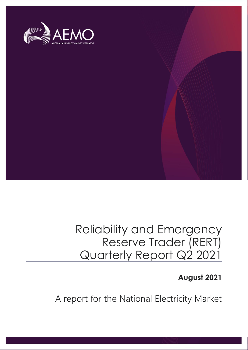

# Reliability and Emergency Reserve Trader (RERT) Quarterly Report Q2 2021

## **August 2021**

A report for the National Electricity Market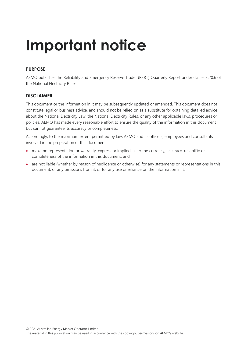# **Important notice**

#### **PURPOSE**

AEMO publishes the Reliability and Emergency Reserve Trader (RERT) Quarterly Report under clause 3.20.6 of the National Electricity Rules.

#### **DISCLAIMER**

This document or the information in it may be subsequently updated or amended. This document does not constitute legal or business advice, and should not be relied on as a substitute for obtaining detailed advice about the National Electricity Law, the National Electricity Rules, or any other applicable laws, procedures or policies. AEMO has made every reasonable effort to ensure the quality of the information in this document but cannot guarantee its accuracy or completeness.

Accordingly, to the maximum extent permitted by law, AEMO and its officers, employees and consultants involved in the preparation of this document:

- make no representation or warranty, express or implied, as to the currency, accuracy, reliability or completeness of the information in this document; and
- are not liable (whether by reason of negligence or otherwise) for any statements or representations in this document, or any omissions from it, or for any use or reliance on the information in it.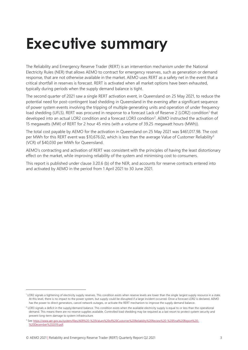# <span id="page-2-0"></span>**Executive summary**

The Reliability and Emergency Reserve Trader (RERT) is an intervention mechanism under the National Electricity Rules (NER) that allows AEMO to contract for emergency reserves, such as generation or demand response, that are not otherwise available in the market. AEMO uses RERT as a safety net in the event that a critical shortfall in reserves is forecast. RERT is activated when all market options have been exhausted, typically during periods when the supply demand balance is tight.

The second quarter of 2021 saw a single RERT activation event, in Queensland on 25 May 2021, to reduce the potential need for post-contingent load shedding in Queensland in the evening after a significant sequence of power system events involving the tripping of multiple generating units and operation of under frequency load shedding (UFLS). RERT was procured in response to a forecast Lack of Reserve 2 (LOR2) condition<sup>1</sup> that developed into an actual LOR2 condition and a forecast LOR3 condition<sup>2</sup>. AEMO instructed the activation of 15 megawatts (MW) of RERT for 2 hour 45 mins (with a volume of 39.25 megawatt hours (MWh)).

The total cost payable by AEMO for the activation in Queensland on 25 May 2021 was \$461,017.98. The cost per MWh for this RERT event was \$10,676.02, which is less than the average Value of Customer Reliability<sup>3</sup> (VCR) of \$40,030 per MWh for Queensland.

AEMO's contracting and activation of RERT was consistent with the principles of having the least distortionary effect on the market, while improving reliability of the system and minimising cost to consumers.

This report is published under clause 3.20.6 (b) of the NER, and accounts for reserve contracts entered into and activated by AEMO in the period from 1 April 2021 to 30 June 2021.

<sup>&</sup>lt;sup>1</sup> LOR2 signals a tightening of electricity supply reserves. This condition exists when reserve levels are lower than the single largest supply resource in a state. At this level, there is no impact to the power system, but supply could be disrupted if a large incident occurred. Once a forecast LOR2 is declared, AEMO has the power to direct generators, cancel network outages, or activate the RERT mechanism to improve the supply demand balance.

 $<sup>2</sup>$  LOR3 signals a deficit in the supply/demand balance. This condition exists when the available electricity supply is equal to or less than the operational</sup> demand. This means there are no reserve supplies available. Controlled load shedding may be required as a last resort to protect system security and prevent long-term damage to system infrastructure.

<sup>3</sup> Se[e https://www.aer.gov.au/system/files/AER%20-%20Values%20of%20Customer%20Reliability%20Review%20-%20Final%20Report%20-](https://www.aer.gov.au/system/files/AER%20-%20Values%20of%20Customer%20Reliability%20Review%20-%20Final%20Report%20-%20December%202019.pdf) [%20December%202019.pdf.](https://www.aer.gov.au/system/files/AER%20-%20Values%20of%20Customer%20Reliability%20Review%20-%20Final%20Report%20-%20December%202019.pdf)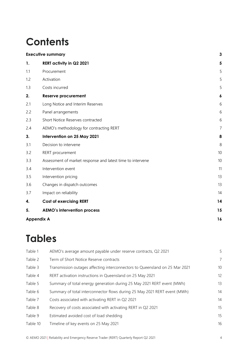# **Contents**

|     | <b>Executive summary</b>                                   | 3  |
|-----|------------------------------------------------------------|----|
| 1.  | <b>RERT activity in Q2 2021</b>                            | 5  |
| 1.1 | Procurement                                                | 5  |
| 1.2 | Activation                                                 | 5  |
| 1.3 | Costs incurred                                             | 5  |
| 2.  | <b>Reserve procurement</b>                                 | 6  |
| 2.1 | Long Notice and Interim Reserves                           | 6  |
| 2.2 | Panel arrangements                                         | 6  |
| 2.3 | Short Notice Reserves contracted                           | 6  |
| 2.4 | AEMO's methodology for contracting RERT                    | 7  |
| 3.  | Intervention on 25 May 2021                                | 8  |
| 3.1 | Decision to intervene                                      | 8  |
| 3.2 | RERT procurement                                           | 10 |
| 3.3 | Assessment of market response and latest time to intervene | 10 |
| 3.4 | Intervention event                                         | 11 |
| 3.5 | Intervention pricing                                       | 13 |
| 3.6 | Changes in dispatch outcomes                               | 13 |
| 3.7 | Impact on reliability                                      | 14 |
| 4.  | <b>Cost of exercising RERT</b>                             | 14 |
| 5.  | <b>AEMO's intervention process</b>                         | 15 |
|     | <b>Appendix A</b>                                          | 16 |

## **Tables**

| Table 1  | AEMO's average amount payable under reserve contracts, Q2 2021              | 5              |
|----------|-----------------------------------------------------------------------------|----------------|
| Table 2  | Term of Short Notice Reserve contracts                                      | $\overline{7}$ |
| Table 3  | Transmission outages affecting interconnectors to Queensland on 25 Mar 2021 | 10             |
| Table 4  | RERT activation instructions in Queensland on 25 May 2021                   | 12             |
| Table 5  | Summary of total energy generation during 25 May 2021 RERT event (MWh)      | 13             |
| Table 6  | Summary of total interconnector flows during 25 May 2021 RERT event (MWh)   | 14             |
| Table 7  | Costs associated with activating RERT in Q2 2021                            | 14             |
| Table 8  | Recovery of costs associated with activating RERT in Q2 2021                | 15             |
| Table 9  | Estimated avoided cost of load shedding                                     | 15             |
| Table 10 | Timeline of key events on 25 May 2021                                       | 16             |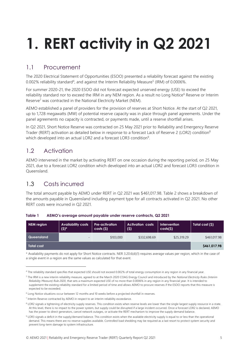# <span id="page-4-0"></span>**1. RERT activity in Q2 2021**

### <span id="page-4-1"></span>1.1 Procurement

The 2020 Electrical Statement of Opportunities (ESOO) presented a reliability forecast against the existing 0.002% reliability standard<sup>4</sup>, and against the Interim Reliability Measure<sup>5</sup> (IRM) of 0.0006%.

For summer 2020-21, the 2020 ESOO did not forecast expected unserved energy (USE) to exceed the reliability standard nor to exceed the IRM in any NEM region. As a result no Long Notice<sup>6</sup> Reserve or Interim Reserve<sup>7</sup> was contracted in the National Electricity Market (NEM).

AEMO established a panel of providers for the provision of reserves at Short Notice. At the start of Q2 2021, up to 1,728 megawatts (MW) of potential reserve capacity was in place through panel agreements. Under the panel agreements no capacity is contracted, or payments made, until a reserve shortfall arises.

In Q2 2021, Short Notice Reserve was contracted on 25 May 2021 prior to Reliability and Emergency Reserve Trader (RERT) activation as detailed below in response to a forecast Lack of Reserve 2 (LOR2) condition<sup>8</sup> which developed into an actual LOR2 and a forecast LOR3 condition<sup>9</sup>.

### <span id="page-4-2"></span>1.2 Activation

AEMO intervened in the market by activating RERT on one occasion during the reporting period, on 25 May 2021, due to a forecast LOR2 condition which developed into an actual LOR2 and forecast LOR3 condition in Queensland.

## <span id="page-4-3"></span>1.3 Costs incurred

The total amount payable by AEMO under RERT in Q2 2021 was \$461,017.98. Table 2 shows a breakdown of the amounts payable in Queensland including payment type for all contracts activated in Q2 2021. No other RERT costs were incurred in Q2 2021.

| NEM region | <b>Availability costs</b><br>$(5)^*$ | <b>Pre-activation</b><br>costs( <sub>s</sub> ) | <b>Activation costs</b><br>(5) | Intervention<br>costs(5) | Total cost (\$) |
|------------|--------------------------------------|------------------------------------------------|--------------------------------|--------------------------|-----------------|
| Queensland | -                                    | \$103,000                                      | \$332,698.69                   | \$25,319.29              | \$461,017.98    |
| Total cost |                                      |                                                |                                |                          | \$461,017.98    |

<span id="page-4-4"></span>**Table 1 AEMO's average amount payable under reserve contracts, Q2 2021**

\* Availability payments do not apply for Short Notice contracts. NER 3.20.6(d)(1) requires average values per region, which in the case of a single event in a region are the same values as calculated for that event.

<sup>4</sup> The reliability standard specifies that expected USE should not exceed 0.002% of total energy consumption in any region in any financial year.

<sup>&</sup>lt;sup>5</sup> The IRM is a new interim reliability measure, agreed to at the March 2020 COAG Energy Council and introduced by the *National Electricity Rules (Interim*) *Reliability Measure) Rule 2020*, that sets a maximum expected USE of no more than 0.0006% in any region in any financial year. It is intended to supplement the existing reliability standard for a limited period of time and allows AEMO to procure reserves if the ESOO reports that this measure is expected to be exceeded.

<sup>6</sup> Long Notice situations occur between 12 months and 10 weeks before a projected shortfall in reserves.

<sup>&</sup>lt;sup>7</sup> Interim Reserve contracted by AEMO in respect to an interim reliability exceedance.

<sup>&</sup>lt;sup>8</sup> LOR2 signals a tightening of electricity supply reserves. This condition exists when reserve levels are lower than the single largest supply resource in a state. At this level, there is no impact to the power system, but supply could be disrupted if a large incident occurred. Once a forecast LOR2 is declared, AEMO has the power to direct generators, cancel network outages, or activate the RERT mechanism to improve the supply demand balance.

<sup>&</sup>lt;sup>9</sup> LOR3 signals a deficit in the supply/demand balance. This condition exists when the available electricity supply is equal to or less than the operational demand. This means there are no reserve supplies available. Controlled load shedding may be required as a last resort to protect system security and prevent long-term damage to system infrastructure.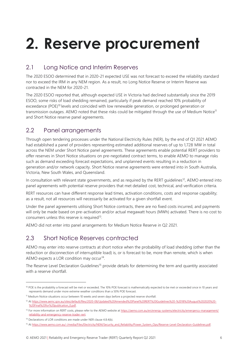# <span id="page-5-0"></span>**2. Reserve procurement**

### <span id="page-5-1"></span>2.1 Long Notice and Interim Reserves

The 2020 ESOO determined that in 2020-21 expected USE was not forecast to exceed the reliability standard nor to exceed the IRM in any NEM region. As a result, no Long Notice Reserve or Interim Reserve was contracted in the NEM for 2020-21.

The 2020 ESOO reported that, although expected USE in Victoria had declined substantially since the 2019 ESOO, some risks of load shedding remained, particularly if peak demand reached 10% probability of exceedance (POE)<sup>10</sup> levels and coincided with low renewable generation, or prolonged generation or transmission outages. AEMO noted that these risks could be mitigated through the use of Medium Notice<sup>11</sup> and Short Notice reserve panel agreements.

### <span id="page-5-2"></span>2.2 Panel arrangements

Through open tendering processes under the National Electricity Rules (NER), by the end of Q1 2021 AEMO had established a panel of providers representing estimated additional reserves of up to 1,728 MW in total across the NEM under Short Notice panel agreements. These agreements enable potential RERT providers to offer reserves in Short Notice situations on pre-negotiated contract terms, to enable AEMO to manage risks such as demand exceeding forecast expectations, and unplanned events resulting in a reduction in generation and/or network capacity. Short Notice reserve agreements were entered into in South Australia, Victoria, New South Wales, and Queensland.

In consultation with relevant state governments, and as required by the RERT guidelines<sup>12</sup>, AEMO entered into panel agreements with potential reserve providers that met detailed cost, technical, and verification criteria.

RERT resources can have different response lead times, activation conditions, costs and response capability; as a result, not all resources will necessarily be activated for a given shortfall event.

Under the panel agreements utilising Short Notice contracts, there are no fixed costs incurred, and payments will only be made based on pre-activation and/or actual megawatt hours (MWh) activated. There is no cost to consumers unless this reserve is required<sup>13</sup>.

AEMO did not enter into panel arrangements for Medium Notice Reserve in Q2 2021.

#### <span id="page-5-3"></span>2.3 Short Notice Reserves contracted

AEMO may enter into reserve contracts at short notice when the probability of load shedding (other than the reduction or disconnection of interruptible load) is, or is forecast to be, more than remote, which is when AEMO expects a LOR condition may occur<sup>14</sup>.

The Reserve Level Declaration Guidelines<sup>15</sup> provide details for determining the term and quantity associated with a reserve shortfall.

<sup>&</sup>lt;sup>10</sup> POE is the probability a forecast will be met or exceeded. The 10% POE forecast is mathematically expected to be met or exceeded once in 10 years and represents demand under more extreme weather conditions than a 50% POE forecast.

<sup>&</sup>lt;sup>11</sup> Medium Notice situations occur between 10 weeks and seven days before a projected reserve shortfall.

<sup>&</sup>lt;sup>12</sup> A[t https://www.aemc.gov.au/sites/default/files/2020-08/Updated%20Amended%20Panel%20RERT%20Guidelines%20-%2018%20August%202020%20-](https://www.aemc.gov.au/sites/default/files/2020-08/Updated%20Amended%20Panel%20RERT%20Guidelines%20-%2018%20August%202020%20-%20Final%20for%20publication_0.pdf) %20Final%20for%20publication\_0.pdf

<sup>&</sup>lt;sup>13</sup> For more information on RERT costs, please refer to the AEMO website a[t https://aemo.com.au/en/energy-systems/electricity/emergency-management/](https://aemo.com.au/en/energy-systems/electricity/emergency-management/reliability-and-emergency-reserve-trader-rert) [reliability-and-emergency-reserve-trader-rert.](https://aemo.com.au/en/energy-systems/electricity/emergency-management/reliability-and-emergency-reserve-trader-rert)

<sup>&</sup>lt;sup>14</sup> Declarations of LOR conditions are made under NER clause 4.8.4(b).

<sup>&</sup>lt;sup>15</sup> A[t https://www.aemo.com.au/-/media/Files/Electricity/NEM/Security\\_and\\_Reliability/Power\\_System\\_Ops/Reserve-Level-Declaration-Guidelines.pdf.](https://www.aemo.com.au/-/media/Files/Electricity/NEM/Security_and_Reliability/Power_System_Ops/Reserve-Level-Declaration-Guidelines.pdf)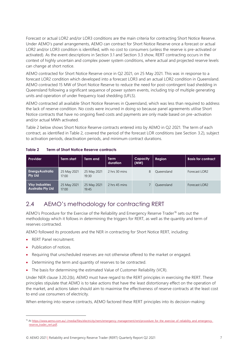Forecast or actual LOR2 and/or LOR3 conditions are the main criteria for contracting Short Notice Reserve. Under AEMO's panel arrangements, AEMO can contract for Short Notice Reserve once a forecast or actual LOR2 and/or LOR3 condition is identified, with no cost to consumers (unless the reserve is pre-activated or activated). As the event descriptions in Section 3.1 and Section 3.3 show, RERT contracting occurs in the context of highly uncertain and complex power system conditions, where actual and projected reserve levels can change at short notice.

AEMO contracted for Short Notice Reserve once in Q2 2021, on 25 May 2021. This was in response to a forecast LOR2 condition which developed into a forecast LOR3 and an actual LOR2 condition in Queensland. AEMO contracted 15 MW of Short Notice Reserve to reduce the need for post-contingent load shedding in Queensland following a significant sequence of power system events, including trip of multiple generating units and operation of under frequency load shedding (UFLS).

AEMO contracted all available Short Notice Reserves in Queensland, which was less than required to address the lack of reserve condition. No costs were incurred in doing so because panel agreements utilise Short Notice contracts that have no ongoing fixed costs and payments are only made based on pre-activation and/or actual MWh activated.

Table 2 below shows Short Notice Reserve contracts entered into by AEMO in Q2 2021. The term of each contract, as identified in Table 2, covered the period of the forecast LOR conditions (see Section [3.2\)](#page-9-0), subject to activation periods, deactivation periods, and minimum contract durations.

| Provider                                           | <b>Term start</b>    | Term end             | <b>Term</b><br>duration | Capacity<br>(MW) | Region     | <b>Basis for contract</b> |
|----------------------------------------------------|----------------------|----------------------|-------------------------|------------------|------------|---------------------------|
| <b>Energy Australia</b><br><b>Pty Ltd</b>          | 25 May 2021<br>17:00 | 25 May 2021<br>19:30 | 2 hrs 30 mins           | 8                | Oueensland | Forecast LOR2             |
| <b>Visy Industries</b><br><b>Australia Pty Ltd</b> | 25 May 2021<br>17:00 | 25 May 2021<br>19:45 | 2 hrs 45 mins           |                  | Oueensland | Forecast LOR2             |

#### <span id="page-6-1"></span>**Table 2 Term of Short Notice Reserve contracts**

#### <span id="page-6-0"></span>2.4 AEMO's methodology for contracting RERT

AEMO's Procedure for the Exercise of the Reliability and Emergency Reserve Trader<sup>16</sup> sets out the methodology which it follows in determining the triggers for RERT, as well as the quantity and term of reserves contracted.

AEMO followed its procedures and the NER in contracting for Short Notice RERT, including:

- RERT Panel recruitment.
- Publication of notices.
- Requiring that unscheduled reserves are not otherwise offered to the market or engaged.
- Determining the term and quantity of reserves to be contracted.
- The basis for determining the estimated Value of Customer Reliability (VCR).

Under NER clause 3.20.2(b), AEMO must have regard to the RERT principles in exercising the RERT. These principles stipulate that AEMO is to take actions that have the least distortionary effect on the operation of the market, and actions taken should aim to maximise the effectiveness of reserve contracts at the least cost to end use consumers of electricity.

When entering into reserve contracts, AEMO factored these RERT principles into its decision-making:

<sup>16</sup> A[t https://www.aemo.com.au/-/media/files/electricity/nem/emergency\\_management/rert/procedure\\_for\\_the\\_exercise\\_of\\_reliability\\_and\\_emergency\\_](https://www.aemo.com.au/-/media/files/electricity/nem/emergency_management/rert/procedure_for_the_exercise_of_reliability_and_emergency_reserve_trader_rert.pdf) [reserve\\_trader\\_rert.pdf.](https://www.aemo.com.au/-/media/files/electricity/nem/emergency_management/rert/procedure_for_the_exercise_of_reliability_and_emergency_reserve_trader_rert.pdf)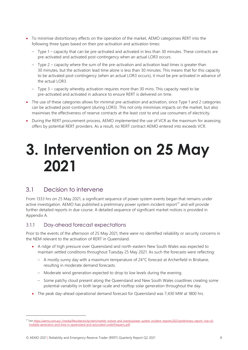- To minimise distortionary effects on the operation of the market, AEMO categorises RERT into the following three types based on their pre-activation and activation times:
	- Type 1 capacity that can be pre-activated and activated in less than 30 minutes. These contracts are pre-activated and activated post-contingency when an actual LOR3 occurs.
	- Type 2 capacity where the sum of the pre-activation and activation lead times is greater than 30 minutes, but the activation lead time alone is less than 30 minutes. This means that for this capacity to be activated post-contingency (when an actual LOR3 occurs), it must be pre-activated in advance of the actual LOR3.
	- Type 3 capacity whereby activation requires more than 30 mins. This capacity need to be pre-activated and activated in advance to ensure RERT is delivered on time.
- The use of these categories allows for minimal pre-activation and activation, since Type 1 and 2 categories can be activated post-contingent (during LOR3). This not only minimises impacts on the market, but also maximises the effectiveness of reserve contracts at the least cost to end use consumers of electricity.
- During the RERT procurement process, AEMO implemented the use of VCR as the maximum for assessing offers by potential RERT providers. As a result, no RERT contract AEMO entered into exceeds VCR.

# <span id="page-7-0"></span>**3. Intervention on 25 May 2021**

#### <span id="page-7-1"></span>3.1 Decision to intervene

From 1333 hrs on 25 May 2021, a significant sequence of power system events began that remains under active investigation. AEMO has published a preliminary power system incident report<sup>17</sup> and will provide further detailed reports in due course. A detailed sequence of significant market notices is provided in Appendix A.

#### 3.1.1 Day-ahead forecast expectations

Prior to the events of the afternoon of 25 May 2021, there were no identified reliability or security concerns in the NEM relevant to the activation of RERT in Queensland.

- A ridge of high pressure over Queensland and north-eastern New South Wales was expected to maintain settled conditions throughout Tuesday 25 May 2021. As such the forecasts were reflecting:
	- A mostly sunny day with a maximum temperature of 24°C forecast at Archerfield in Brisbane, resulting in moderate demand forecasts.
	- Moderate wind generation expected to drop to low levels during the evening.
	- Some patchy cloud present along the Queensland and New South Wales coastlines creating some potential variability in both large-scale and rooftop solar generation throughout the day.
- The peak day-ahead operational demand forecast for Queensland was 7,430 MW at 1800 hrs.

<sup>17</sup> Se[e https://aemo.com.au/-/media/files/electricity/nem/market\\_notices\\_and\\_events/power\\_system\\_incident\\_reports/2021/preliminary-report--trip-of](https://aemo.com.au/-/media/files/electricity/nem/market_notices_and_events/power_system_incident_reports/2021/preliminary-report--trip-of-multiple-generators-and-lines-in-queensland-and-associated-underfrequenc.pdf)[multiple-generators-and-lines-in-queensland-and-associated-underfrequenc.pdf.](https://aemo.com.au/-/media/files/electricity/nem/market_notices_and_events/power_system_incident_reports/2021/preliminary-report--trip-of-multiple-generators-and-lines-in-queensland-and-associated-underfrequenc.pdf)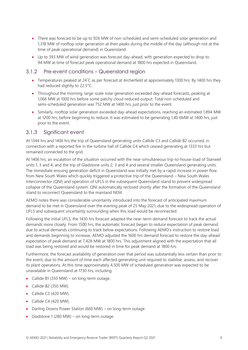- There was forecast to be up to 926 MW of non-scheduled and semi-scheduled solar generation and 1,318 MW of rooftop solar generation at their peaks during the middle of the day (although not at the time of peak operational demand) in Queensland.
- Up to 393 MW of wind generation was forecast day-ahead, with generation expected to drop to 94 MW at time of forecast peak operational demand at 1800 hrs expected in Queensland.

#### 3.1.2 Pre-event conditions – Queensland region

- Temperatures peaked at 24°C as per forecast at Archerfield at approximately 1300 hrs. By 1400 hrs they had reduced slightly to 22.5°C.
- Throughout the morning, large-scale solar generation exceeded day-ahead forecasts, peaking at 1,066 MW at 1000 hrs before some patchy cloud reduced output. Total non-scheduled and semi-scheduled generation was 752 MW at 1400 hrs, just prior to the event.
- Similarly, rooftop solar generation exceeded day-ahead expectations, reaching an estimated 1,894 MW at 1200 hrs, before beginning to reduce. It was estimated to be generating 1,40 6MW at 1400 hrs, just prior to the event.

#### 3.1.3 Significant event

At 1344 hrs and 1406 hrs the trip of Queensland generating units Callide C3 and Callide B2 occurred, in connection with a reported fire in the turbine hall of Callide C4 which ceased generating at 1333 hrs but remained connected to the grid.

At 1406 hrs, an escalation of the situation occurred with the near-simultaneous trip-to-house-load of Stanwell units 1, 3 and 4, and the trip of Gladstone units 2, 3 and 4 and several smaller Queensland generating units. The immediate ensuing generation deficit in Queensland was initially met by a rapid increase in power flow from New South Wales which quickly triggered a protective trip of the Queensland – New South Wales Interconnector (QNI) and operation of UFLS in the subsequent Queensland island to prevent widespread collapse of the Queensland system. QNI automatically reclosed shortly after the formation of the Queensland island to reconnect Queensland to the mainland NEM.

AEMO notes there was considerable uncertainty introduced into the forecast of anticipated maximum demand to be met in Queensland over the evening peak of 25 May 2021, due to the widespread operation of UFLS and subsequent uncertainty surrounding when this load would be reconnected.

Following the initial UFLS, the 1430 hrs forecast adapted the near-term demand forecast to track the actual demands more closely. From 1500 hrs, the automatic forecast began to reduce expectation of peak demand due to actual demands continuing to track below expectations. Following AEMO's instruction to restore load and demands beginning to increase, AEMO adjusted the 1600 hrs demand forecast to restore the day-ahead expectation of peak demand at 7,428 MW at 1800 hrs. This adjustment aligned with the expectation that all load was being restored and would be restored in time for peak demand at 1800 hrs.

Furthermore, the forecast availability of generation over that period was substantially less certain than prior to the event, due to the amount of time each affected generating unit required to stabilise, assess, and recover its plant operations. At this time approximately 4,500 MW of scheduled generation was expected to be unavailable in Queensland at 1730 hrs, including:

- Callide B1 (350 MW) on long-term outage.
- Callide B2 (350 MW).
- Callide C3 (420 MW).
- $\bullet$  Callide C4 (420 MW).
- Darling Downs Power Station (660 MW) on long-term outage
- Gladstone 1 (280 MW) on long-term outage.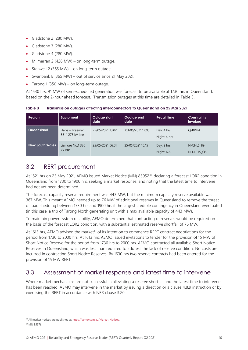- Gladstone 2 (280 MW).
- Gladstone 3 (280 MW).
- Gladstone 4 (280 MW).
- Milmerran 2 (426 MW) on long-term outage.
- Stanwell 2 (365 MW) on long-term outage.
- Swanbank E (365 MW) out of service since 21 May 2021.
- Tarong 1 (350 MW) on long-term outage.

At 1530 hrs, 91 MW of semi-scheduled generation was forecast to be available at 1730 hrs in Queensland, based on the 2-hour ahead forecast. Transmission outages at this time are detailed in Table 3.

<span id="page-9-2"></span>**Table 3 Transmission outages affecting interconnectors to Queensland on 25 Mar 2021**

| Region                 | Equipment                           | Outage start<br>date | Ouatge end<br>date | <b>Recall time</b>         | <b>Constraints</b><br>invoked |
|------------------------|-------------------------------------|----------------------|--------------------|----------------------------|-------------------------------|
| Queensland             | Halys - Braemar<br>8814 275 kV line | 25/05/2021 10:02     | 03/06/2021 17:00   | Day: 4 hrs<br>Night: 4 hrs | O-BRHA                        |
| <b>New South Wales</b> | Lismore No.1330<br>kV Bus           | 25/05/2021 06:01     | 25/05/2021 16:15   | Day: 2 hrs<br>Night: NA    | N-CHLS 89<br>N-DLETS OS       |

### <span id="page-9-0"></span>3.2 RERT procurement

At 1521 hrs on 25 May 2021, AEMO issued Market Notice (MN) 85952<sup>18</sup>, declaring a forecast LOR2 condition in Queensland from 1730 to 1900 hrs, seeking a market response, and noting that the latest time to intervene had not yet been determined.

The forecast capacity reserve requirement was 443 MW, but the minimum capacity reserve available was 367 MW. This meant AEMO needed up to 76 MW of additional reserves in Queensland to remove the threat of load shedding between 1730 hrs and 1900 hrs if the largest credible contingency in Queensland eventuated (in this case, a trip of Tarong North generating unit with a max available capacity of 443 MW).

To maintain power system reliability, AEMO determined that contracting of reserves would be required on the basis of the forecast LOR2 condition, with a substantial estimated reserve shortfall of 76 MW.

At 1613 hrs, AEMO advised the market<sup>19</sup> of its intention to commence RERT contract negotiations for the period from 1730 to 2000 hrs. At 1613 hrs, AEMO issued invitations to tender for the provision of 15 MW of Short Notice Reserve for the period from 1730 hrs to 2000 hrs. AEMO contracted all available Short Notice Reserves in Queensland, which was less than required to address the lack of reserve condition. No costs are incurred in contracting Short Notice Reserves. By 1630 hrs two reserve contracts had been entered for the provision of 15 MW RERT.

### <span id="page-9-1"></span>3.3 Assessment of market response and latest time to intervene

Where market mechanisms are not successful in alleviating a reserve shortfall and the latest time to intervene has been reached, AEMO may intervene in the market by issuing a direction or a clause 4.8.9 instruction or by exercising the RERT in accordance with NER clause 3.20.

<sup>18</sup> All market notices are published a[t https://aemo.com.au/Market-Notices.](https://aemo.com.au/Market-Notices)

<sup>19</sup> MN 85976.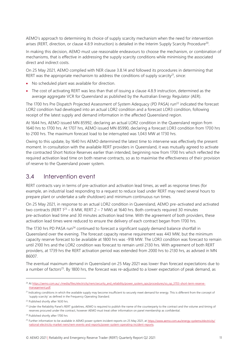AEMO's approach to determining its choice of supply scarcity mechanism when the need for intervention arises (RERT, direction, or clause 4.8.9 instruction) is detailed in the Interim Supply Scarcity Procedure<sup>20</sup>.

In making this decision, AEMO must use reasonable endeavours to choose the mechanism, or combination of mechanisms, that is effective in addressing the supply scarcity conditions while minimising the associated direct and indirect costs.

On 25 May 2021, AEMO complied with NER clause 3.8.14 and followed its procedures in determining that RERT was the appropriate mechanism to address the conditions of supply scarcity<sup>21</sup>, since:

- No scheduled plant was available for direction.
- The cost of activating RERT was less than that of issuing a clause 4.8.9 instruction, determined as the average aggregate VCR for Queensland as published by the Australian Energy Regulator (AER).

The 1700 hrs Pre Dispatch Projected Assessment of System Adequacy (PD PASA) run<sup>22</sup> indicated the forecast LOR2 condition had developed into an actual LOR2 condition and a forecast LOR3 condition, following receipt of the latest supply and demand information in the affected Queensland region.

At 1644 hrs, AEMO issued MN 85992, declaring an actual LOR2 condition in the Queensland region from 1640 hrs to 1700 hrs. At 1707 hrs, AEMO issued MN 85990, declaring a forecast LOR3 condition from 1700 hrs to 2100 hrs. The maximum forecast load to be interrupted was 1,043 MW at 1730 hrs.

Owing to this update, by 1640 hrs AEMO determined the latest time to intervene was effectively the present moment. In consultation with the available RERT providers in Queensland, it was mutually agreed to activate the contracted Short Notice Reserves earlier than intended, beginning now from 1700 hrs which reflected the required activation lead time on both reserve contracts, so as to maximise the effectiveness of their provision of reserve to the Queensland power system.

#### <span id="page-10-0"></span>3.4 Intervention event

RERT contracts vary in terms of pre-activation and activation lead times, as well as response times (for example, an industrial load responding to a request to reduce load under RERT may need several hours to prepare plant or undertake a safe shutdown) and minimum continuous run times.

On 25 May 2021, in response to an actual LOR2 condition in Queensland, AEMO pre-activated and activated two contracts (RERT  $1^{23}$  – 8 MW, RERT 2 – 7 MW) at 1640 hrs. Both contracts required 30 minutes pre-activation lead time and 30 minutes activation lead time. With the agreement of both providers, these activation lead times were reduced to ensure the delivery of each contract began from 1700 hrs.

The 1730 hrs PD PASA run<sup>24</sup> continued to forecast a significant supply demand balance shortfall in Queensland over the evening. The forecast capacity reserve requirement was 443 MW, but the minimum capacity reserve forecast to be available at 1800 hrs was -918 MW. The LOR3 condition was forecast to remain until 2100 hrs and the LOR2 condition was forecast to remain until 2130 hrs. With agreement of both RERT providers, at 1739 hrs the RERT activation period was extended from 2000 hrs to 2130 hrs, as advised in MN 86007.

The eventual maximum demand in Queensland on 25 May 2021 was lower than forecast expectations due to a number of factors<sup>25</sup>. By 1800 hrs, the forecast was re-adjusted to a lower expectation of peak demand, as

<sup>&</sup>lt;sup>20</sup> A[t https://aemo.com.au/-/media/files/electricity/nem/security\\_and\\_reliability/power\\_system\\_ops/procedures/so\\_op\\_3703-short-term-reserve](https://aemo.com.au/-/media/files/electricity/nem/security_and_reliability/power_system_ops/procedures/so_op_3703-short-term-reserve-management.pdf)[management.pdf.](https://aemo.com.au/-/media/files/electricity/nem/security_and_reliability/power_system_ops/procedures/so_op_3703-short-term-reserve-management.pdf)

<sup>&</sup>lt;sup>21</sup> Indicating conditions in which the available supply may become insufficient to securely meet demand for energy. This is different from the concept of 'supply scarcity' as defined in the Frequency Operating Standard.

<sup>&</sup>lt;sup>22</sup> Published shortly after 1630 hrs.

<sup>&</sup>lt;sup>23</sup> Under the Reliability Panel's RERT quidelines, AEMO is required to publish the name of the counterparty to the contract and the volume and timing of reserves procured under the contract, however AEMO must treat other information on panel membership as confidential.

<sup>24</sup> Published shortly after 1700 hrs

<sup>&</sup>lt;sup>25</sup> Further information to be available in AEMO power system incident reports on 25 May 2021, at [https://www.aemo.com.au/energy-systems/electricity/](https://www.aemo.com.au/energy-systems/electricity/national-electricity-market-nem/nem-events-and-reports/power-system-operating-incident-reports) [national-electricity-market-nem/nem-events-and-reports/power-system-operating-incident-reports.](https://www.aemo.com.au/energy-systems/electricity/national-electricity-market-nem/nem-events-and-reports/power-system-operating-incident-reports)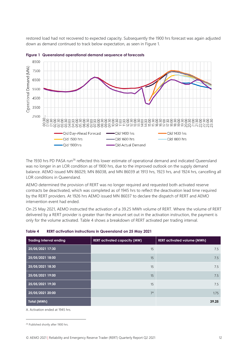restored load had not recovered to expected capacity. Subsequently the 1900 hrs forecast was again adjusted down as demand continued to track below expectation, as seen in Figure 1.





The 1930 hrs PD PASA run<sup>26</sup> reflected this lower estimate of operational demand and indicated Queensland was no longer in an LOR condition as of 1900 hrs, due to the improved outlook on the supply demand balance. AEMO issued MN 86029, MN 86038, and MN 86039 at 1913 hrs, 1923 hrs, and 1924 hrs, cancelling all LOR conditions in Queensland.

AEMO determined the provision of RERT was no longer required and requested both activated reserve contracts be deactivated, which was completed as of 1945 hrs to reflect the deactivation lead time required by the RERT providers. At 1926 hrs AEMO issued MN 86037 to declare the dispatch of RERT and AEMO intervention event had ended.

On 25 May 2021, AEMO instructed the activation of a 39.25 MWh volume of RERT. Where the volume of RERT delivered by a RERT provider is greater than the amount set out in the activation instruction, the payment is only for the volume activated. Table 4 shows a breakdown of RERT activated per trading interval.

| <b>Trading Interval ending</b> | <b>RERT</b> activated capacity (MW) | <b>RERT activated volume (MWh)</b> |
|--------------------------------|-------------------------------------|------------------------------------|
| 25/05/2021 17:30               | 15                                  | 7.5                                |
| 25/05/2021 18:00               | 15                                  | 7.5                                |
| 25/05/2021 18:30               | 15                                  | 7.5                                |
| 25/05/2021 19:00               | 15                                  | 7.5                                |
| 25/05/2021 19:30               | 15                                  | 7.5                                |
| 25/05/2021 20:00               | $7^A$                               | 1.75                               |
| Total (MWh)                    |                                     | 39.25                              |

#### <span id="page-11-0"></span>**Table 4 RERT activation instructions in Queensland on 25 May 2021**

A. Activation ended at 1945 hrs.

<sup>&</sup>lt;sup>26</sup> Published shortly after 1900 hrs.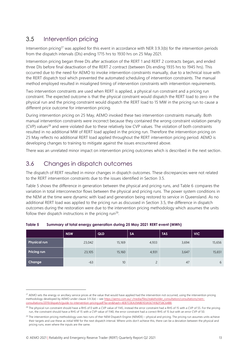### <span id="page-12-0"></span>3.5 Intervention pricing

Intervention pricing<sup>27</sup> was applied for this event in accordance with NER 3.9.3(b) for the intervention periods from the dispatch intervals (DIs) ending 1715 hrs to 1930 hrs on 25 May 2021.

Intervention pricing began three DIs after activation of the RERT 1 and RERT 2 contracts began, and ended three DIs before final deactivation of the RERT 2 contract (between DIs ending 1935 hrs to 1945 hrs). This occurred due to the need for AEMO to invoke intervention constraints manually, due to a technical issue with the RERT dispatch tool which prevented the automated scheduling of intervention constraints. The manual method employed resulted in misaligned timing of intervention constraints with intervention requirements.

Two intervention constraints are used when RERT is applied, a physical run constraint and a pricing run constraint. The expected outcome is that the physical constraint would dispatch the RERT load to zero in the physical run and the pricing constraint would dispatch the RERT load to 15 MW in the pricing run to cause a different price outcome for intervention pricing.

During intervention pricing on 25 May, AEMO invoked these two intervention constraints manually. Both manual intervention constraints were incorrect because they contained the wrong constraint violation penalty (CVP) values<sup>28</sup> and were violated due to these relatively low CVP values. The violation of both constraints resulted in no additional MW of RERT load applied in the pricing run. Therefore the intervention pricing on 25 May reflects no additional RERT load applied throughout the RERT intervention pricing period. AEMO is developing changes to training to mitigate against the issues encountered above.

There was an unrelated minor impact on intervention pricing outcomes which is described in the next section.

### <span id="page-12-1"></span>3.6 Changes in dispatch outcomes

The dispatch of RERT resulted in minor changes in dispatch outcomes. These discrepancies were not related to the RERT intervention constraints due to the issues identified in Section [3.5.](#page-12-0)

Table 5 shows the difference in generation between the physical and pricing runs, and Table 6 compares the variation in total interconnector flows between the physical and pricing runs. The power system conditions in the NEM at the time were dynamic with load and generation being restored to service in Queensland. As no additional RERT load was applied to the pricing run as discussed in Section [3.5,](#page-12-0) the difference in dispatch outcomes during the restoration were due to the intervention pricing methodology which assumes the units follow their dispatch instructions in the pricing run<sup>29</sup>.

|                     | <b>NSW</b> | <b>QLD</b> | <b>SA</b> | <b>TAS</b> | <b>VIC</b> |
|---------------------|------------|------------|-----------|------------|------------|
| <b>Physical run</b> | 23,042     | 15,169     | 4,933     | 3,694      | 15,656     |
| <b>Pricing run</b>  | 23,105     | 15,160     | 4,931     | 3,647      | 15,651     |
| Change              | $-63$      | 10         | $\bigcap$ | 47         | 6          |

#### <span id="page-12-2"></span>**Table 5 Summary of total energy generation during 25 May 2021 RERT event (MWh)**

<sup>&</sup>lt;sup>27</sup> AEMO sets the energy or ancillary service prices at the value that would have applied had the intervention not occurred, using the intervention pricing methodology developed by AEMO under clause 3.9.3(e) – see [https://aemo.com.au/-/media/files/stakeholder\\_consultation/consultations/nem](https://aemo.com.au/-/media/files/stakeholder_consultation/consultations/nem-consultations/‌2019/‌dispatch/guide-to-intervention-pricing.pdf?la=en&hash=4EB7C0EA39AB0103A5674182F58C64B8)[consultations/2019/dispatch/guide-to-intervention-pricing.pdf?la=en&hash=4EB7C0EA39AB0103A5674182F58C64B8.](https://aemo.com.au/-/media/files/stakeholder_consultation/consultations/nem-consultations/‌2019/‌dispatch/guide-to-intervention-pricing.pdf?la=en&hash=4EB7C0EA39AB0103A5674182F58C64B8)

<sup>&</sup>lt;sup>28</sup> The physical run constraint should have a RHS of 0 with a CVP value of 1145, instead the error constraint had a RHS of 15 with a CVP of 55. For the pricing run, the constraint should have a RHS of 15 with a CVP value of 1140, the error constraint had a correct RHS of 15 but with an error CVP of 50.

<sup>&</sup>lt;sup>29</sup> The intervention pricing methodology uses two runs of ther NEM Dispatch Engine (NEMDE) – physical and pricing. The pricing run assumes units achieve their targets and use these as initial MW for the next dispatch interval. Where units don't achieve this, there can be a deviation between the physical and pricing runs, even where the inputs are the same.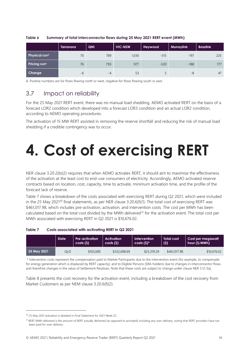|                                 | <b>Terranora</b> | QNI  | <b>VIC-NSW</b> | Heywood | <b>Murraylink</b> | <b>Basslink</b> |
|---------------------------------|------------------|------|----------------|---------|-------------------|-----------------|
| <b>Physical run<sup>A</sup></b> | 70               | 789  | 1,030          | $-515$  | $-197$            | 225             |
| Pricing run <sup>A</sup>        | 76               | 793  | 977            | $-520$  | $-188$            | 177             |
| Change                          | $-6$             | $-4$ | 53             |         | $-8$              | 47              |

#### <span id="page-13-2"></span>**Table 6 Summary of total interconnector flows during 25 May 2021 RERT event (MWh)**

A. Positive numbers are for flows flowing north or west, negative for flows flowing south or east.

### <span id="page-13-0"></span>3.7 Impact on reliability

For the 25 May 2021 RERT event, there was no manual load shedding. AEMO activated RERT on the basis of a forecast LOR2 condition which developed into a forecast LOR3 condition and an actual LOR2 condition, according to AEMO operating procedures.

The activation of 15 MW RERT assisted in removing the reserve shortfall and reducing the risk of manual load shedding if a credible contingency was to occur.

# <span id="page-13-1"></span>**4. Cost of exercising RERT**

NER clause 3.20.2(b)(2) requires that when AEMO activates RERT, it should aim to maximise the effectiveness of the activation at the least cost to end-use consumers of electricity. Accordingly, AEMO activated reserve contracts based on location, cost, capacity, time to activate, minimum activation time, and the profile of the forecast lack of reserve.

Table 7 shows a breakdown of the costs associated with exercising RERT during Q2 2021, which were included in the 25 May 2021<sup>30</sup> final statements, as per NER clause 3.20.6(f)(1). The total cost of exercising RERT was \$461,017.98, which includes pre-activation, activation, and intervention costs. The cost per MWh has been calculated based on the total cost divided by the MWh delivered<sup>31</sup> for the activation event. The total cost per MWh associated with exercising RERT in Q2 2021 is \$10,676.02.

#### <span id="page-13-3"></span>**Table 7 Costs associated with activating RERT in Q2 2021**

|             | <b>State</b> | <b>Pre-activation</b><br>costs (S) | <b>Activation</b><br>costs(S) | Intervention<br>$costs(S)^*$ | <b>Total cost</b><br>(S) | Cost per megawatt<br>hour (\$/MWh) |  |
|-------------|--------------|------------------------------------|-------------------------------|------------------------------|--------------------------|------------------------------------|--|
| 25 May 2021 | OLD          | \$103,000                          | \$332,698.69                  | \$25,319.29                  | \$461,017.98             | \$10,676,02                        |  |

\* Intervention costs represent the compensation paid to Market Participants due to the intervention event (for example, to compensate for energy generation which is displaced by RERT capacity), and to Eligible Persons (SRA holders) due to changes in interconnector flows, and therefore changes in the value of Settlement Residues. Note that these costs are subject to change under clause NER 3.12.1(a).

Table 8 presents the cost recovery for the activation event, including a breakdown of the cost recovery from Market Customers as per NEM clause 3.20.6(f)(2).

<sup>&</sup>lt;sup>30</sup> 25 May 2021 activation is detailed in Final Statement for 2021 Week 22.

<sup>&</sup>lt;sup>31</sup> RERT MWh delivered is the amount of RERT actually delivered (as opposed to activated) including any over-delivery, noting that RERT providers have not been paid for over-delivery.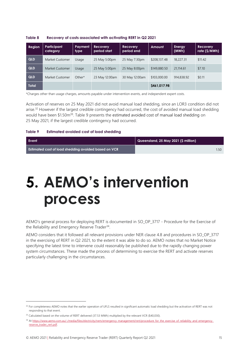| Region       | Participant<br>category | <b>Payment</b><br>type | <b>Recovery</b><br>period start | <b>Recovery</b><br>period end | Amount       | Energy<br>(MWh) | <b>Recovery</b><br>rate (\$/MWh) |
|--------------|-------------------------|------------------------|---------------------------------|-------------------------------|--------------|-----------------|----------------------------------|
| QLD          | Market Customer         | Usage                  | 25 May 5:00pm                   | 25 May 7:30pm                 | \$208,137.48 | 18,227.31       | \$11.42                          |
| QLD          | Market Customer         | Usage                  | 25 May 5:00pm                   | 25 May 8:00pm                 | \$149,880.50 | 21.114.61       | \$7.10                           |
| QLD          | Market Customer         | $Other*$               | 23 May 12:00am                  | 30 May 12:00am                | \$103,000.00 | 914,838.92      | \$0.11                           |
| <b>Total</b> |                         |                        |                                 |                               | \$461,017.98 |                 |                                  |

<span id="page-14-1"></span>

| Table 8 |  | Recovery of costs associated with activating RERT in Q2 2021 |  |  |  |
|---------|--|--------------------------------------------------------------|--|--|--|
|         |  |                                                              |  |  |  |

\*Charges other than usage charges, amounts payable under intervention events, and independent expert costs.

Activation of reserves on 25 May 2021 did not avoid manual load shedding, since an LOR3 condition did not arise.<sup>32</sup> However if the largest credible contingency had occurred, the cost of avoided manual load shedding would have been \$1.50m<sup>33</sup>. Table 9 presents the estimated avoided cost of manual load shedding on 25 May 2021, if the largest credible contingency had occurred.

<span id="page-14-2"></span>

| Table 9 | Estimated avoided cost of load shedding |  |  |  |  |
|---------|-----------------------------------------|--|--|--|--|
|---------|-----------------------------------------|--|--|--|--|

| Event                                                | Queensland, 25 May 2021 (\$ million) |
|------------------------------------------------------|--------------------------------------|
| Estimated cost of load shedding avoided based on VCR |                                      |

# <span id="page-14-0"></span>**5. AEMO's intervention process**

AEMO's general process for deploying RERT is documented in SO\_OP\_3717 - Procedure for the Exercise of the Reliability and Emergency Reserve Trader<sup>34</sup>.

AEMO considers that it followed all relevant provisions under NER clause 4.8 and procedures in SO\_OP\_3717 in the exercising of RERT in Q2 2021, to the extent it was able to do so. AEMO notes that no Market Notice specifying the latest time to intervene could reasonably be published due to the rapidly changing power system circumstances. These made the process of determining to exercise the RERT and activate reserves particularly challenging in the circumstances.

<sup>&</sup>lt;sup>32</sup> For completeness AEMO notes that the earlier operation of UFLS resulted in significant automatic load shedding but the activation of RERT was not responding to that event.

<sup>&</sup>lt;sup>33</sup> Calculated based on the volume of RERT delivered (37.53 MWh) multiplied by the relevant VCR (\$40,030).

<sup>34</sup> At https://www.aemo.com.au/-/media/files/electricity/nem/emergency\_management/rert/procedure\_for\_the\_exercise\_of\_reliability\_and\_emergency [reserve\\_trader\\_rert.pdf.](https://www.aemo.com.au/-/media/files/electricity/nem/emergency_management/rert/procedure_for_the_exercise_of_reliability_and_emergency_reserve_trader_rert.pdf)